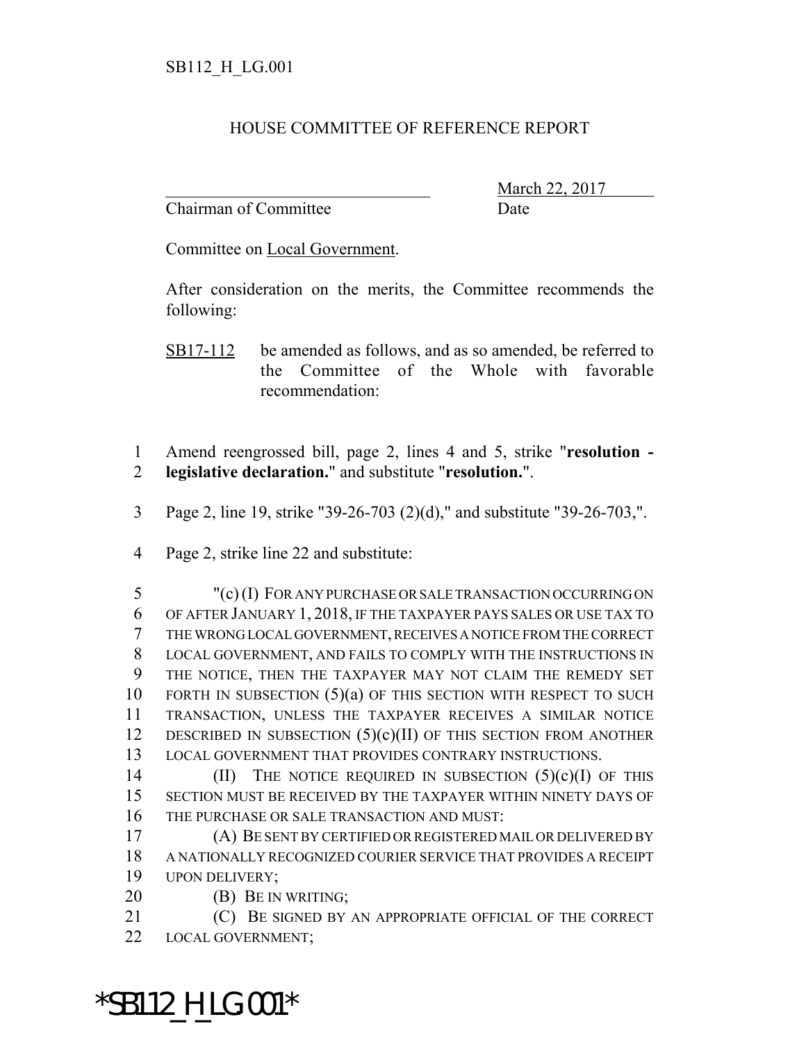## HOUSE COMMITTEE OF REFERENCE REPORT

Chairman of Committee Date

March 22, 2017

Committee on Local Government.

After consideration on the merits, the Committee recommends the following:

SB17-112 be amended as follows, and as so amended, be referred to the Committee of the Whole with favorable recommendation:

1 Amend reengrossed bill, page 2, lines 4 and 5, strike "**resolution -** 2 **legislative declaration.**" and substitute "**resolution.**".

- 3 Page 2, line 19, strike "39-26-703 (2)(d)," and substitute "39-26-703,".
- 4 Page 2, strike line 22 and substitute:

 "(c) (I) FOR ANY PURCHASE OR SALE TRANSACTION OCCURRING ON OF AFTER JANUARY 1, 2018, IF THE TAXPAYER PAYS SALES OR USE TAX TO THE WRONG LOCAL GOVERNMENT, RECEIVES A NOTICE FROM THE CORRECT LOCAL GOVERNMENT, AND FAILS TO COMPLY WITH THE INSTRUCTIONS IN THE NOTICE, THEN THE TAXPAYER MAY NOT CLAIM THE REMEDY SET 10 FORTH IN SUBSECTION (5)(a) OF THIS SECTION WITH RESPECT TO SUCH TRANSACTION, UNLESS THE TAXPAYER RECEIVES A SIMILAR NOTICE 12 DESCRIBED IN SUBSECTION  $(5)(c)(II)$  of this section from another LOCAL GOVERNMENT THAT PROVIDES CONTRARY INSTRUCTIONS.

14 (II) THE NOTICE REQUIRED IN SUBSECTION  $(5)(c)(I)$  OF THIS 15 SECTION MUST BE RECEIVED BY THE TAXPAYER WITHIN NINETY DAYS OF 16 THE PURCHASE OR SALE TRANSACTION AND MUST:

17 (A) BE SENT BY CERTIFIED OR REGISTERED MAIL OR DELIVERED BY 18 A NATIONALLY RECOGNIZED COURIER SERVICE THAT PROVIDES A RECEIPT 19 UPON DELIVERY;

20 **(B)** BE IN WRITING;

21 (C) BE SIGNED BY AN APPROPRIATE OFFICIAL OF THE CORRECT 22 LOCAL GOVERNMENT;

\*SB112\_H\_LG.001\*